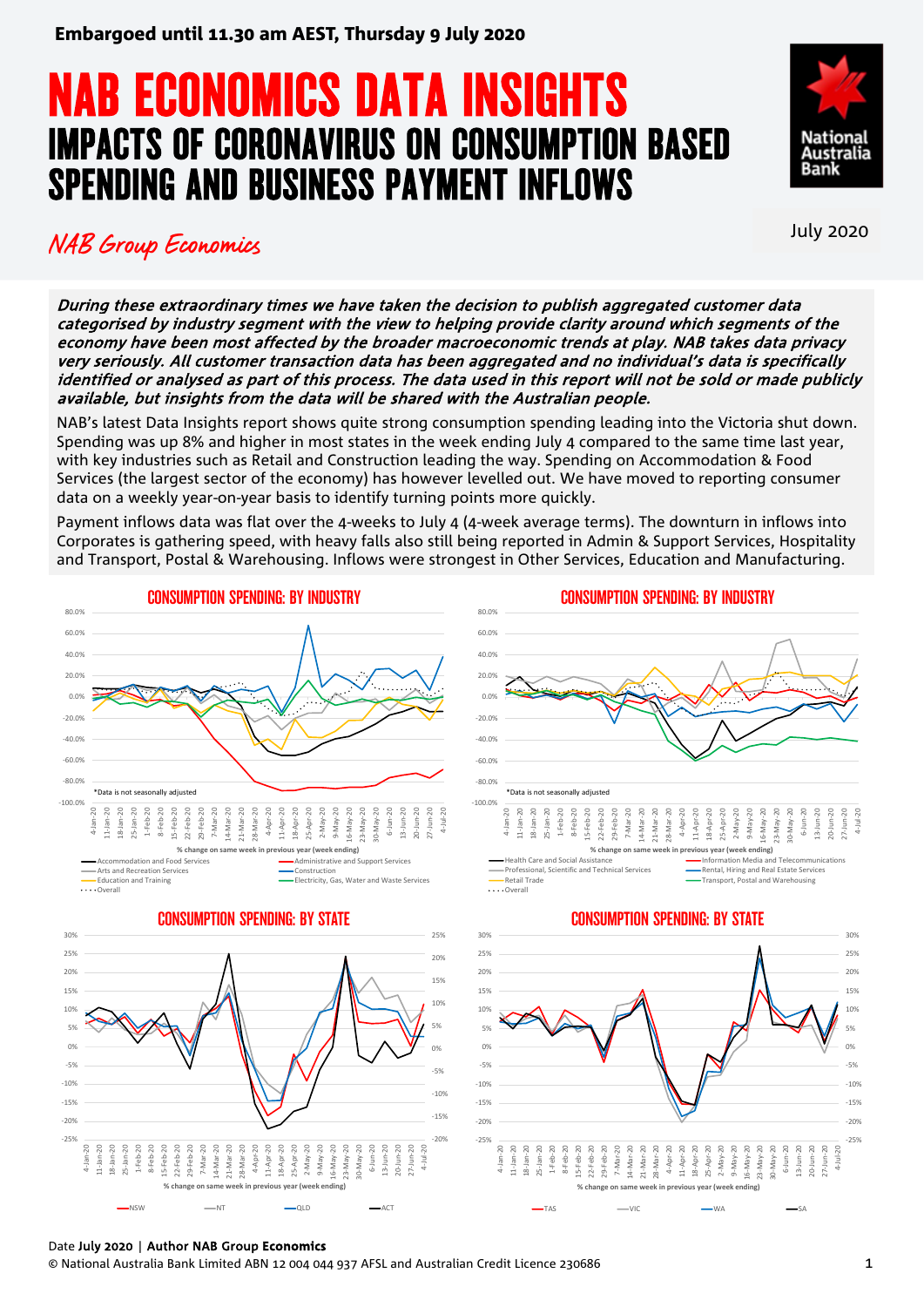# **NAB ECONOMICS DATA INSIGHTS<br>IMPACTS OF CORONAVIRUS ON CONSUMPTION BASED** SPENDING AND BUSINESS PAYMENT INFLOWS



30-May-20 6-Jun-20 13-Jun-20 20-Jun-20 27-Jun-20 4-Jul-20

0-May-

 $Ju - 20$ 

 $\sum_{n=1}^{\infty}$  $J$ un- $20$  $J$ un-20

6-Jun-20 13-Jun-20 20-Jun-20 27-Jun-20 4-Jul-20

 $13 - Jun - 20$ 20-Jun-20  $27 - Jun - 20$ 

TAS — VIC — WA — SA

## NAB Group Economics July 2020

During these extraordinary times we have taken the decision to publish aggregated customer data categorised by industry segment with the view to helping provide clarity around which segments of the economy have been most affected by the broader macroeconomic trends at play. NAB takes data privacy very seriously. All customer transaction data has been aggregated and no individual's data is specifically identified or analysed as part of this process. The data used in this report will not be sold or made publicly available, but insights from the data will be shared with the Australian people.

NAB's latest Data Insights report shows quite strong consumption spending leading into the Victoria shut down. Spending was up 8% and higher in most states in the week ending July 4 compared to the same time last year, with key industries such as Retail and Construction leading the way. Spending on Accommodation & Food Services (the largest sector of the economy) has however levelled out. We have moved to reporting consumer data on a weekly year-on-year basis to identify turning points more quickly.

Payment inflows data was flat over the 4-weeks to July 4 (4-week average terms). The downturn in inflows into Corporates is gathering speed, with heavy falls also still being reported in Admin & Support Services, Hospitality and Transport, Postal & Warehousing. Inflows were strongest in Other Services, Education and Manufacturing.



### Date July 2020 | Author NAB Group **Economics**

© National Australia Bank Limited ABN 12 004 044 937 AFSL and Australian Credit Licence 230686 1

NSW NT QLD ACT

-25% -20% -15% -10% -5% 0% 5%  $10%$ 15% 20% 25% 30%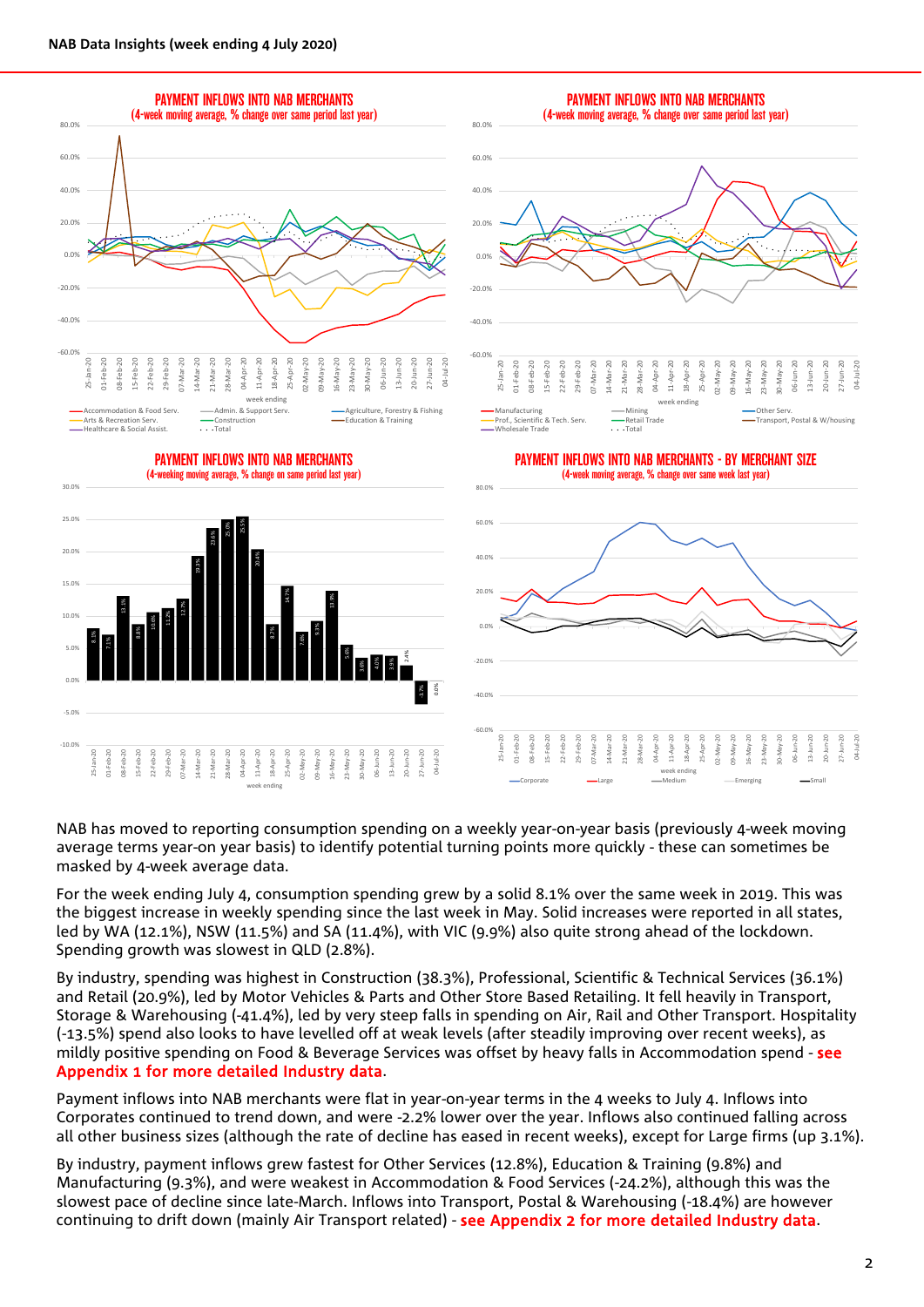

NAB has moved to reporting consumption spending on a weekly year-on-year basis (previously 4-week moving average terms year-on year basis) to identify potential turning points more quickly - these can sometimes be masked by 4-week average data.

For the week ending July 4, consumption spending grew by a solid 8.1% over the same week in 2019. This was the biggest increase in weekly spending since the last week in May. Solid increases were reported in all states, led by WA (12.1%), NSW (11.5%) and SA (11.4%), with VIC (9.9%) also quite strong ahead of the lockdown. Spending growth was slowest in QLD (2.8%).

By industry, spending was highest in Construction (38.3%), Professional, Scientific & Technical Services (36.1%) and Retail (20.9%), led by Motor Vehicles & Parts and Other Store Based Retailing. It fell heavily in Transport, Storage & Warehousing (-41.4%), led by very steep falls in spending on Air, Rail and Other Transport. Hospitality (-13.5%) spend also looks to have levelled off at weak levels (after steadily improving over recent weeks), as mildly positive spending on Food & Beverage Services was offset by heavy falls in Accommodation spend - see Appendix 1 for more detailed Industry data.

Payment inflows into NAB merchants were flat in year-on-year terms in the 4 weeks to July 4. Inflows into Corporates continued to trend down, and were -2.2% lower over the year. Inflows also continued falling across all other business sizes (although the rate of decline has eased in recent weeks), except for Large firms (up 3.1%).

By industry, payment inflows grew fastest for Other Services (12.8%), Education & Training (9.8%) and Manufacturing (9.3%), and were weakest in Accommodation & Food Services (-24.2%), although this was the slowest pace of decline since late-March. Inflows into Transport, Postal & Warehousing (-18.4%) are however continuing to drift down (mainly Air Transport related) - see Appendix 2 for more detailed Industry data.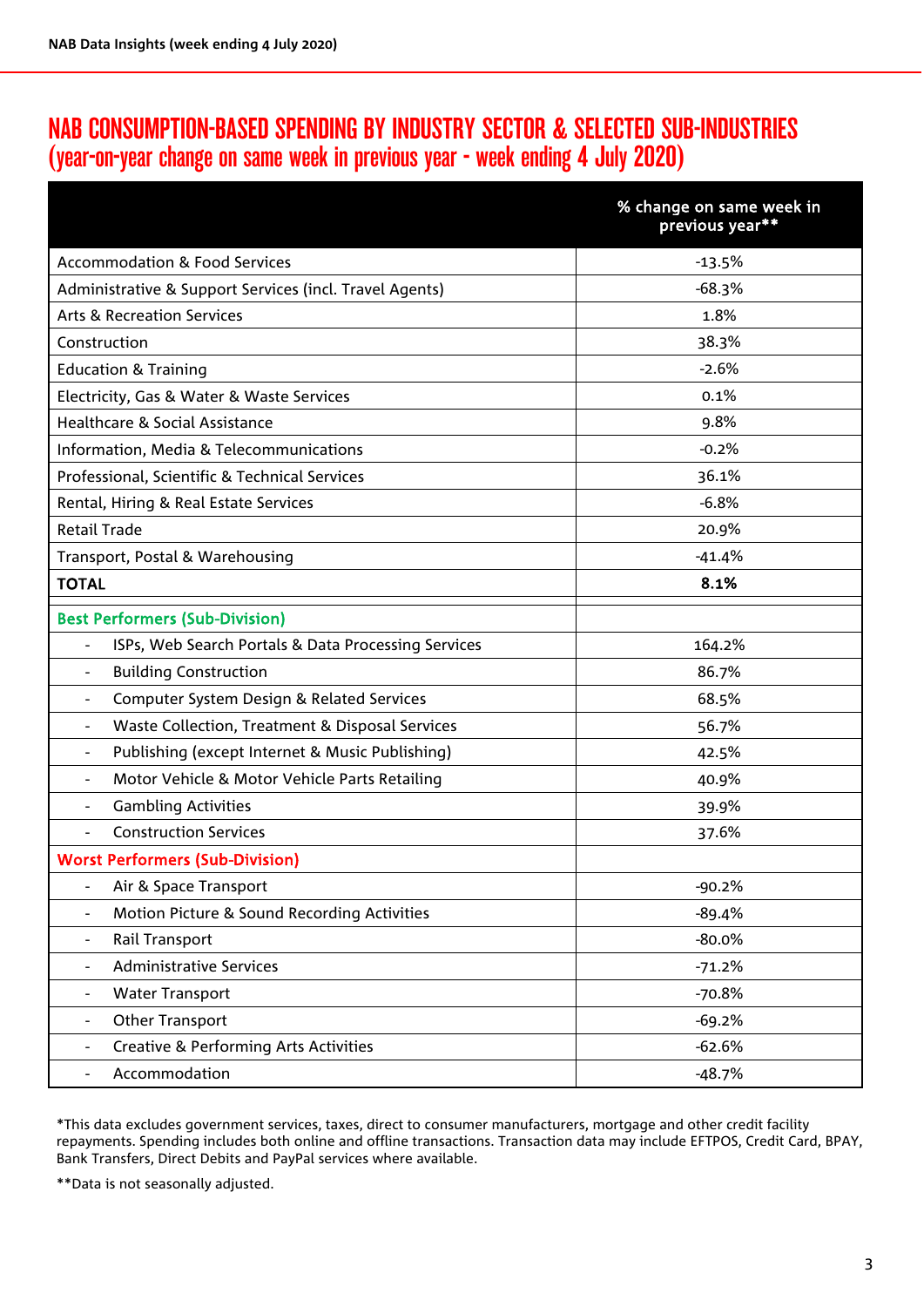### NAB CONSUMPTION-BASED SPENDING BY INDUSTRY SECTOR & SELECTED SUB-INDUSTRIES (year-on-year change on same week in previous year - week ending 4 July 2020)

|                                                                             | % change on same week in<br>previous year** |  |  |  |  |
|-----------------------------------------------------------------------------|---------------------------------------------|--|--|--|--|
| <b>Accommodation &amp; Food Services</b>                                    | $-13.5%$                                    |  |  |  |  |
| Administrative & Support Services (incl. Travel Agents)                     | $-68.3%$                                    |  |  |  |  |
| <b>Arts &amp; Recreation Services</b>                                       | 1.8%                                        |  |  |  |  |
| Construction                                                                | 38.3%                                       |  |  |  |  |
| <b>Education &amp; Training</b>                                             | $-2.6%$                                     |  |  |  |  |
| Electricity, Gas & Water & Waste Services                                   | 0.1%                                        |  |  |  |  |
| Healthcare & Social Assistance                                              | 9.8%                                        |  |  |  |  |
| Information, Media & Telecommunications                                     | $-0.2%$                                     |  |  |  |  |
| Professional, Scientific & Technical Services                               | 36.1%                                       |  |  |  |  |
| Rental, Hiring & Real Estate Services                                       | $-6.8%$                                     |  |  |  |  |
| <b>Retail Trade</b>                                                         | 20.9%                                       |  |  |  |  |
| Transport, Postal & Warehousing                                             | $-41.4%$                                    |  |  |  |  |
| <b>TOTAL</b>                                                                | 8.1%                                        |  |  |  |  |
| <b>Best Performers (Sub-Division)</b>                                       |                                             |  |  |  |  |
| ISPs, Web Search Portals & Data Processing Services                         | 164.2%                                      |  |  |  |  |
| <b>Building Construction</b><br>$\overline{\phantom{a}}$                    | 86.7%                                       |  |  |  |  |
| Computer System Design & Related Services<br>$\blacksquare$                 | 68.5%                                       |  |  |  |  |
| Waste Collection, Treatment & Disposal Services<br>$\overline{\phantom{a}}$ | 56.7%                                       |  |  |  |  |
| Publishing (except Internet & Music Publishing)<br>$\overline{\phantom{a}}$ | 42.5%                                       |  |  |  |  |
| Motor Vehicle & Motor Vehicle Parts Retailing<br>$\overline{\phantom{a}}$   | 40.9%                                       |  |  |  |  |
| <b>Gambling Activities</b>                                                  | 39.9%                                       |  |  |  |  |
| <b>Construction Services</b>                                                | 37.6%                                       |  |  |  |  |
| <b>Worst Performers (Sub-Division)</b>                                      |                                             |  |  |  |  |
| Air & Space Transport<br>$\overline{\phantom{a}}$                           | $-90.2%$                                    |  |  |  |  |
| Motion Picture & Sound Recording Activities                                 | $-89.4%$                                    |  |  |  |  |
| Rail Transport<br>$\overline{\phantom{a}}$                                  | $-80.0\%$                                   |  |  |  |  |
| <b>Administrative Services</b><br>$\overline{\phantom{a}}$                  | $-71.2%$                                    |  |  |  |  |
| <b>Water Transport</b>                                                      | $-70.8%$                                    |  |  |  |  |
| Other Transport                                                             | $-69.2%$                                    |  |  |  |  |
| <b>Creative &amp; Performing Arts Activities</b>                            | $-62.6%$                                    |  |  |  |  |
| Accommodation<br>$\overline{\phantom{a}}$                                   | $-48.7%$                                    |  |  |  |  |

\*This data excludes government services, taxes, direct to consumer manufacturers, mortgage and other credit facility repayments. Spending includes both online and offline transactions. Transaction data may include EFTPOS, Credit Card, BPAY, Bank Transfers, Direct Debits and PayPal services where available.

\*\*Data is not seasonally adjusted.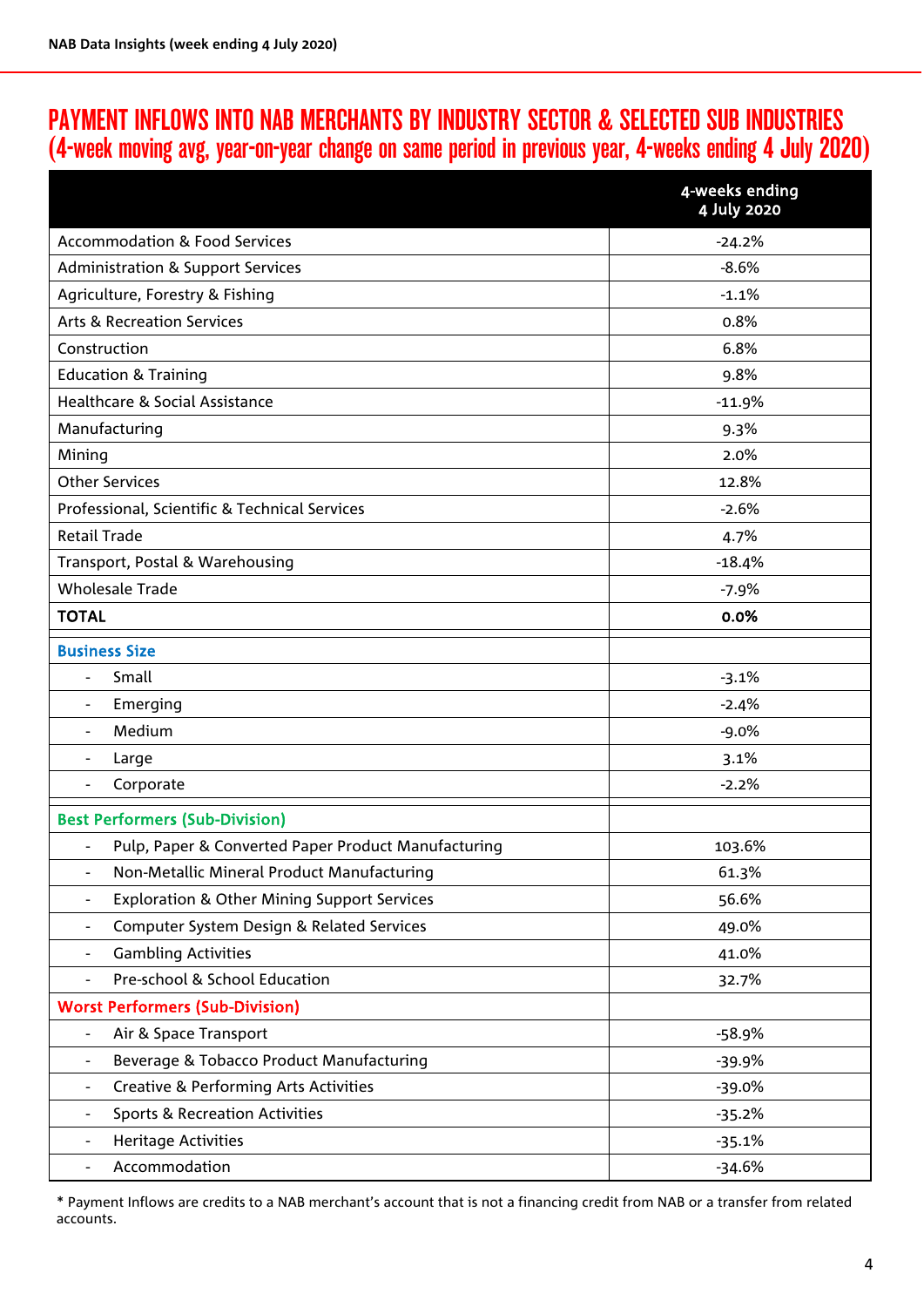## PAYMENT INFLOWS INTO NAB MERCHANTS BY INDUSTRY SECTOR & SELECTED SUB INDUSTRIES (4-week moving avg, year-on-year change on same period in previous year, 4-weeks ending 4 July 2020)

|                                                                                  | 4-weeks ending<br>4 July 2020 |  |  |  |  |
|----------------------------------------------------------------------------------|-------------------------------|--|--|--|--|
| <b>Accommodation &amp; Food Services</b>                                         | $-24.2%$                      |  |  |  |  |
| <b>Administration &amp; Support Services</b>                                     | $-8.6%$                       |  |  |  |  |
| Agriculture, Forestry & Fishing                                                  | $-1.1%$                       |  |  |  |  |
| <b>Arts &amp; Recreation Services</b>                                            | 0.8%                          |  |  |  |  |
| Construction                                                                     | 6.8%                          |  |  |  |  |
| <b>Education &amp; Training</b>                                                  | 9.8%                          |  |  |  |  |
| Healthcare & Social Assistance                                                   | $-11.9%$                      |  |  |  |  |
| Manufacturing                                                                    | 9.3%                          |  |  |  |  |
| Mining                                                                           | 2.0%                          |  |  |  |  |
| <b>Other Services</b>                                                            | 12.8%                         |  |  |  |  |
| Professional, Scientific & Technical Services                                    | $-2.6%$                       |  |  |  |  |
| <b>Retail Trade</b>                                                              | 4.7%                          |  |  |  |  |
| Transport, Postal & Warehousing                                                  | $-18.4%$                      |  |  |  |  |
| <b>Wholesale Trade</b>                                                           | $-7.9%$                       |  |  |  |  |
| <b>TOTAL</b>                                                                     | 0.0%                          |  |  |  |  |
| <b>Business Size</b>                                                             |                               |  |  |  |  |
| Small<br>$\blacksquare$                                                          | $-3.1%$                       |  |  |  |  |
| Emerging<br>$\qquad \qquad -$                                                    | $-2.4%$                       |  |  |  |  |
| Medium<br>$\overline{\phantom{a}}$                                               | $-9.0%$                       |  |  |  |  |
| Large<br>$\qquad \qquad \blacksquare$                                            | 3.1%                          |  |  |  |  |
| Corporate<br>$\overline{\phantom{a}}$                                            | $-2.2%$                       |  |  |  |  |
| <b>Best Performers (Sub-Division)</b>                                            |                               |  |  |  |  |
| Pulp, Paper & Converted Paper Product Manufacturing                              | 103.6%                        |  |  |  |  |
| Non-Metallic Mineral Product Manufacturing<br>$\qquad \qquad \blacksquare$       | 61.3%                         |  |  |  |  |
| <b>Exploration &amp; Other Mining Support Services</b><br>$\qquad \qquad -$      | 56.6%                         |  |  |  |  |
| Computer System Design & Related Services<br>$\overline{\phantom{a}}$            | 49.0%                         |  |  |  |  |
| <b>Gambling Activities</b><br>$\overline{\phantom{a}}$                           | 41.0%                         |  |  |  |  |
| Pre-school & School Education                                                    | 32.7%                         |  |  |  |  |
| <b>Worst Performers (Sub-Division)</b>                                           |                               |  |  |  |  |
| Air & Space Transport<br>$\overline{\phantom{a}}$                                | $-58.9%$                      |  |  |  |  |
| Beverage & Tobacco Product Manufacturing                                         | $-39.9%$                      |  |  |  |  |
| <b>Creative &amp; Performing Arts Activities</b><br>$\qquad \qquad \blacksquare$ | $-39.0%$                      |  |  |  |  |
| <b>Sports &amp; Recreation Activities</b><br>$\qquad \qquad \blacksquare$        | $-35.2%$                      |  |  |  |  |
| <b>Heritage Activities</b><br>$\overline{\phantom{a}}$                           | $-35.1%$                      |  |  |  |  |
| Accommodation<br>$\qquad \qquad \blacksquare$                                    | $-34.6%$                      |  |  |  |  |

\* Payment Inflows are credits to a NAB merchant's account that is not a financing credit from NAB or a transfer from related accounts.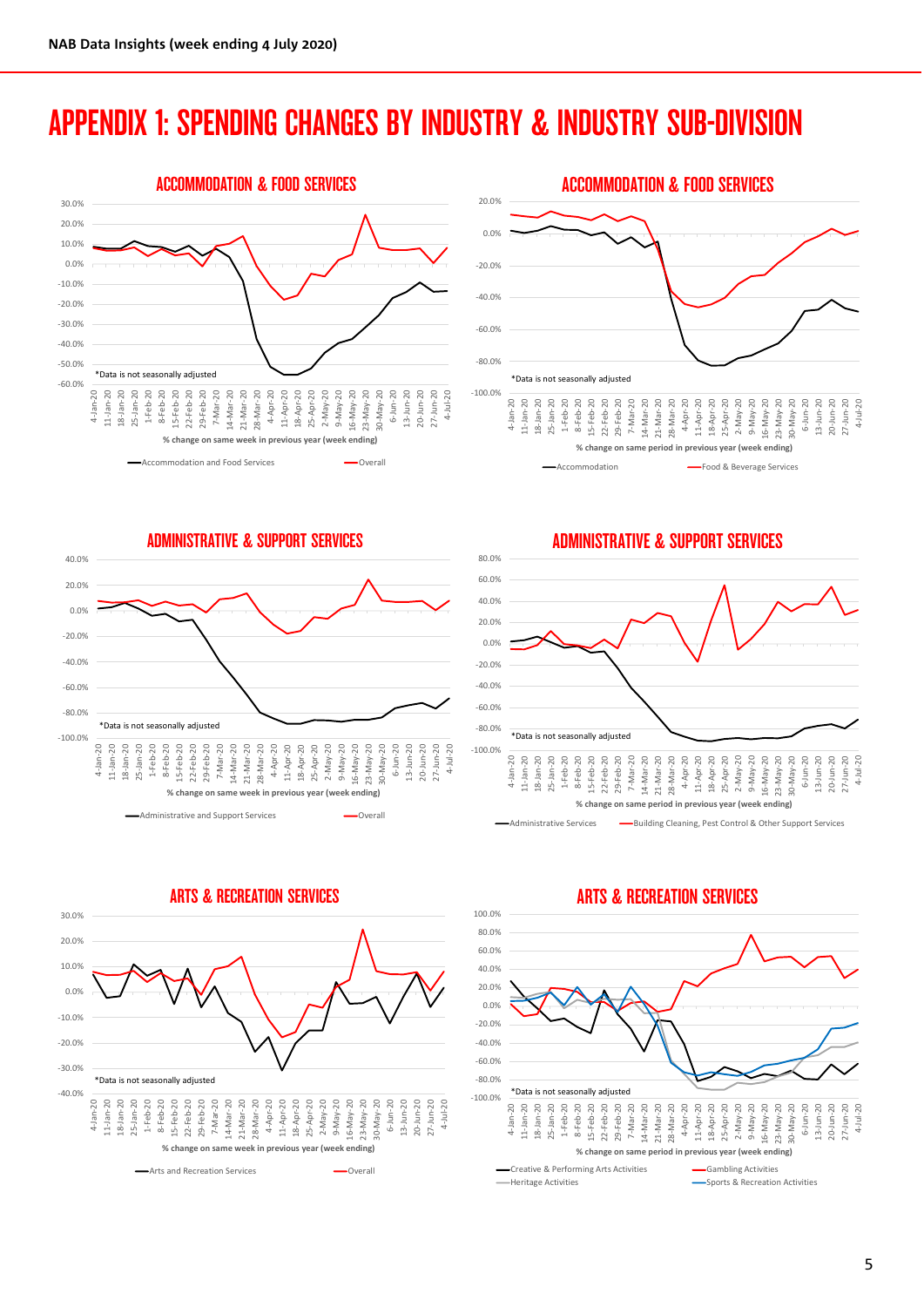## APPENDIX 1: SPENDING CHANGES BY INDUSTRY & INDUSTRY SUB-DIVISION





ADMINISTRATIVE & SUPPORT SERVICES



ADMINISTRATIVE & SUPPORT SERVICES





ARTS & RECREATION SERVICES

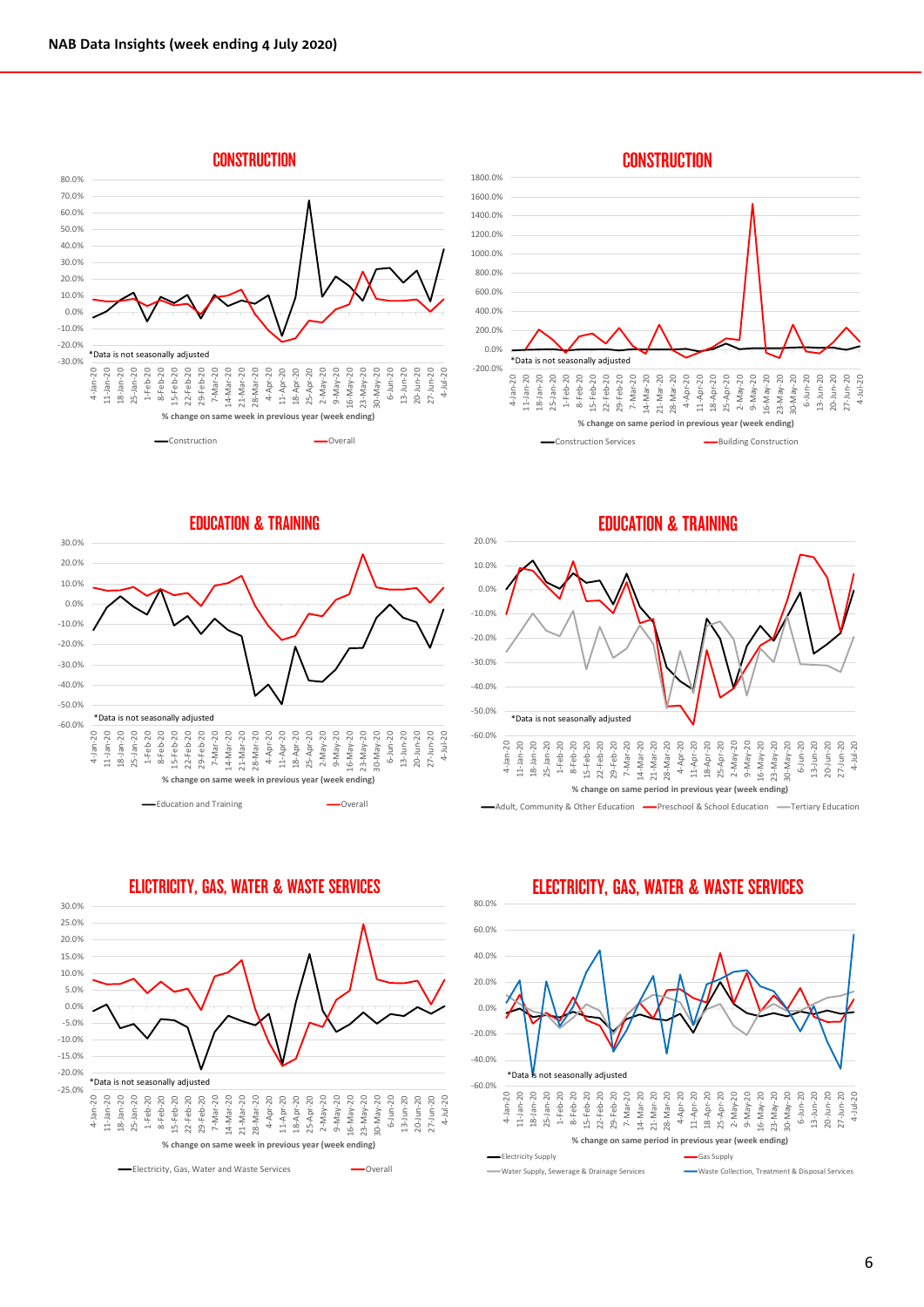



EDUCATION & TRAINING







ELICTRICITY, GAS, WATER & WASTE SERVICES





**CONSTRUCTION**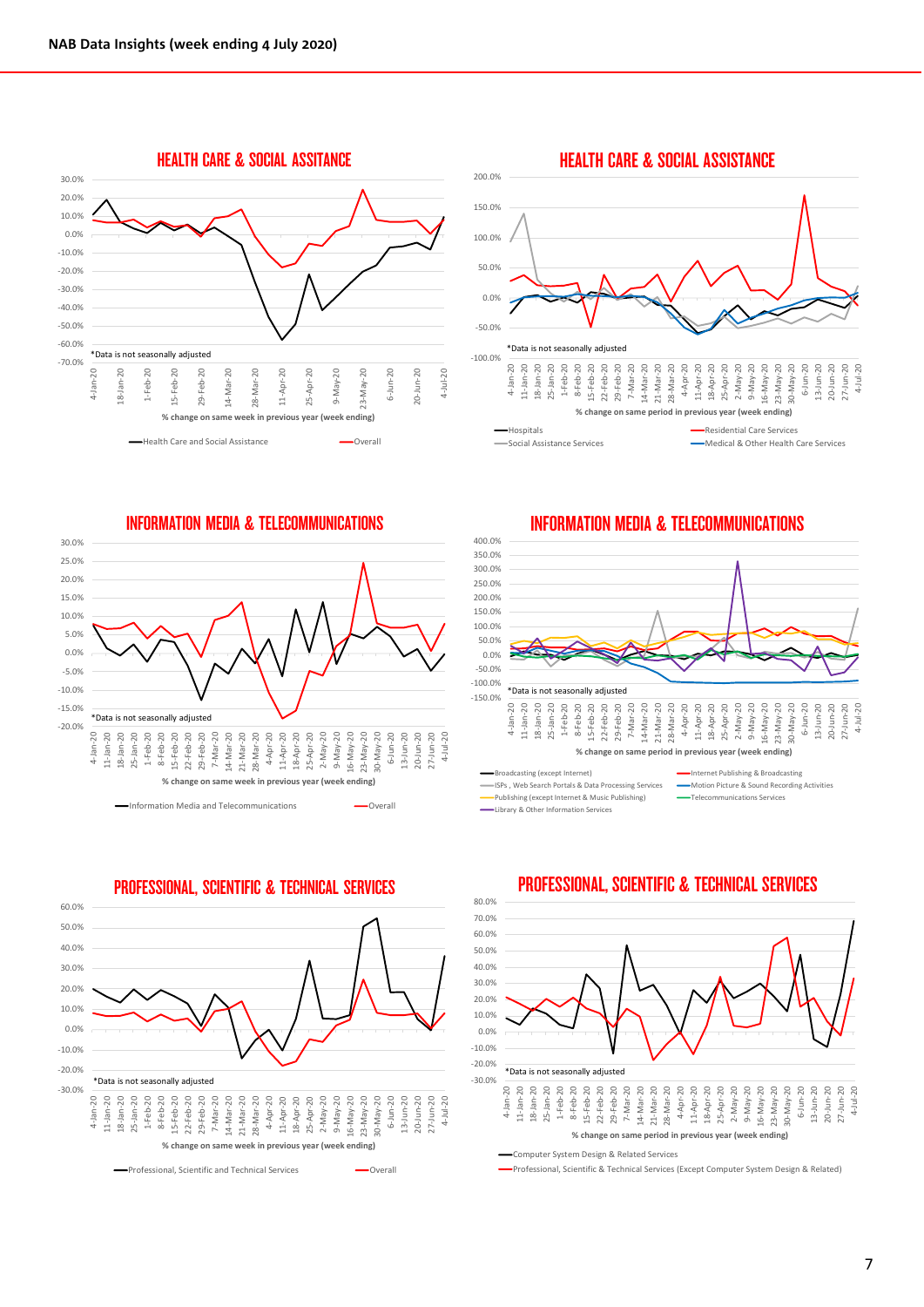

HEALTH CARE & SOCIAL ASSISTANCE 200.0% 150.0% 100.0% 50.0% 0.0% -50.0% \*Data is not seasonally adju 21-Mar-20<br>28-Mar-20<br>4-Apr-20 18-Jan-20<br>25-Jan-20 8-Feb-20 22-Feb-20<br>29-Feb-20 18-Apr-20 2-May-20 9-May-20<br>16-May-20  $M$ ay-20 6-Jun-20  $13 - Jun - 20$  $-Jun-20$  $-Jun-20$ 4-Jul-20 4-Jan-20  $11 - Jan - 20$ 1-Feb-20 15-Feb-20  $7 - \text{Mar} - 20$ 14-Mar-20 11-Apr-20 25-Apr-20  $23-May-20$ 11-Jan-20 18-Jan-20 25-Jan-20 15-Feb-20 22-Feb-20 29-Feb-20 7-Mar-20 14-Mar-20 21-Mar-20 28-Mar-20 16-May-20 23-May-20 30-May-20 13-Jun-20 20-Jun-20 27-Jun-20 -4 S े<br>ज **% change on same period in previous year (week ending) Hospitals** Residential Care Services Social Assistance Services Medical & Other Health Care Services

INFORMATION MEDIA & TELECOMMUNICATIONS





PROFESSIONAL, SCIENTIFIC & TECHNICAL SERVICES

Professional, Scientific and Technical Services **Communical** Overall

INFORMATION MEDIA & TELECOMMUNICATIONS



ISPs , Web Search Portals & Data Processing Services Motion Picture & Sound Recording Activities Publishing (except Internet & Music Publishing) Library & Other Information Services



### PROFESSIONAL, SCIENTIFIC & TECHNICAL SERVICES

Computer System Design & Related Services

Professional, Scientific & Technical Services (Except Computer System Design & Related)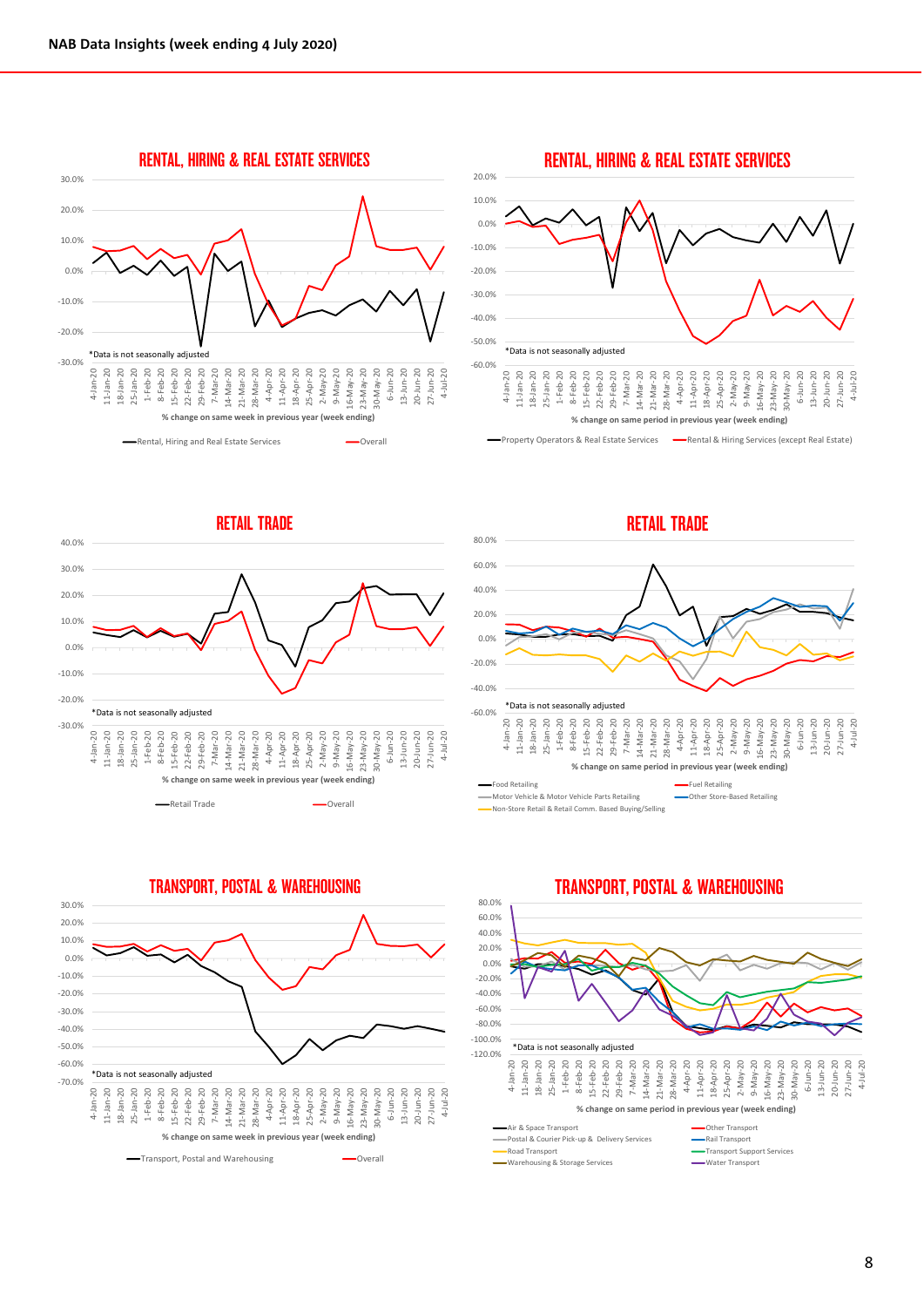



Property Operators & Real Estate Services - Rental & Hiring Services (except Real Estate)

RETAIL TRADE 40.0% 30.0% 20.0% 10.0% 0.0% -10.0% -20.0% \*Data is not seasonally adjusted -60.0% -30.0% 1-Feb-20 8-Feb-20 22-Feb-20<br>29-Feb-20 9-May-20 16-May-20<br>23-May-20<br>30-May-20  $Jan-20$  $18 - Jan - 20$  $25 - Jan - 20$ 7-Mar-20 6-Jun-20  $3 - Jun - 20$ 20-Jun-20 27-Jun-20<br>4-Jul-20 4-Jan-20  $-5$ -Feb-20 2-May-20 11-Jan-20 18-Jan-20 25-Jan-20 15-Feb-20 22-Feb-20 29-Feb-20 7-Mar-20 14-Mar-20 21-Mar-20 28-Mar-20 4-Apr-20 11-Apr-20 18-Apr-20 25-Apr-20 16-May-20 23-May-20 30-May-20 13-Jun-20 20-Jun-20 27-Jun-20 E **% change on same week in previous year (week ending)**

Retail Trade **Contact Contact Contact Contact Contact Contact Contact Contact Contact Contact Contact Contact Contact Contact Contact Contact Contact Contact Contact Contact Contact Contact Contact Contact Contact Contact** 





TRANSPORT, POSTAL & WAREHOUSING

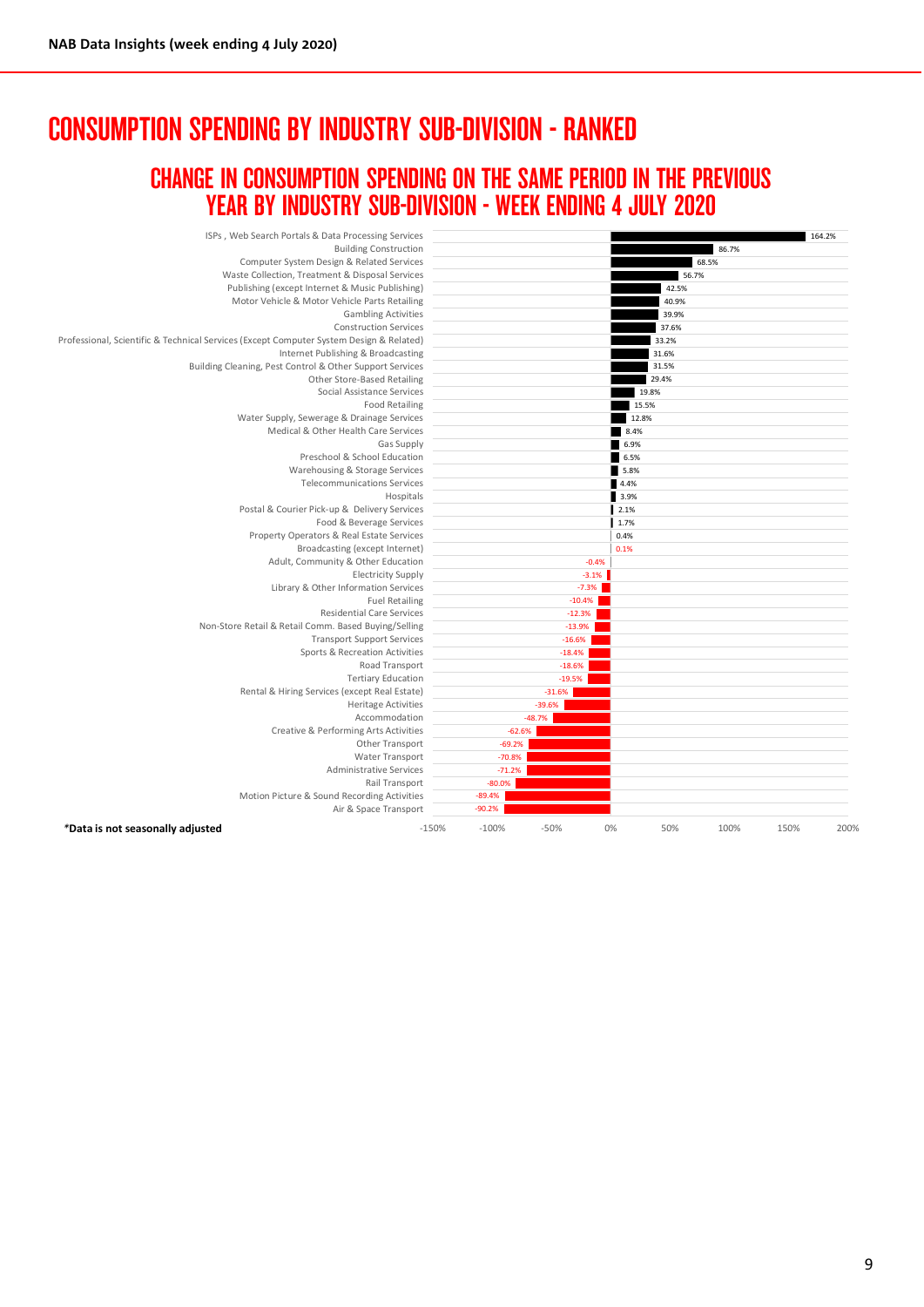## CONSUMPTION SPENDING BY INDUSTRY SUB-DIVISION - RANKED

### CHANGE IN CONSUMPTION SPENDING ON THE SAME PERIOD IN THE PREVIOUS YEAR BY INDUSTRY SUB-DIVISION - WEEK ENDING 4 JULY 2020

| ISPs, Web Search Portals & Data Processing Services                                     |         |                      |          |         |       |       |      | 164.2% |
|-----------------------------------------------------------------------------------------|---------|----------------------|----------|---------|-------|-------|------|--------|
| <b>Building Construction</b>                                                            |         | 86.7%                |          |         |       |       |      |        |
| Computer System Design & Related Services                                               |         |                      |          |         |       | 68.5% |      |        |
| Waste Collection, Treatment & Disposal Services                                         |         |                      |          |         | 56.7% |       |      |        |
| Publishing (except Internet & Music Publishing)                                         |         |                      |          |         | 42.5% |       |      |        |
| Motor Vehicle & Motor Vehicle Parts Retailing                                           |         |                      |          |         | 40.9% |       |      |        |
| <b>Gambling Activities</b>                                                              |         |                      |          |         | 39.9% |       |      |        |
| <b>Construction Services</b>                                                            |         |                      |          |         | 37.6% |       |      |        |
| Professional, Scientific & Technical Services (Except Computer System Design & Related) |         |                      |          |         | 33.2% |       |      |        |
| Internet Publishing & Broadcasting                                                      |         |                      |          |         | 31.6% |       |      |        |
| Building Cleaning, Pest Control & Other Support Services                                |         | 31.5%                |          |         |       |       |      |        |
| Other Store-Based Retailing                                                             |         |                      |          |         | 29.4% |       |      |        |
| Social Assistance Services                                                              |         |                      |          |         | 19.8% |       |      |        |
| <b>Food Retailing</b>                                                                   |         |                      |          |         | 15.5% |       |      |        |
| Water Supply, Sewerage & Drainage Services                                              |         |                      |          |         | 12.8% |       |      |        |
| Medical & Other Health Care Services                                                    |         |                      |          | 8.4%    |       |       |      |        |
| Gas Supply                                                                              |         |                      |          | 6.9%    |       |       |      |        |
| Preschool & School Education                                                            |         |                      |          | 6.5%    |       |       |      |        |
| Warehousing & Storage Services                                                          |         |                      |          | 5.8%    |       |       |      |        |
| <b>Telecommunications Services</b>                                                      |         |                      |          | 4.4%    |       |       |      |        |
| Hospitals                                                                               |         |                      |          | 3.9%    |       |       |      |        |
| Postal & Courier Pick-up & Delivery Services                                            |         |                      |          | 2.1%    |       |       |      |        |
| Food & Beverage Services                                                                |         |                      |          | 1.7%    |       |       |      |        |
| Property Operators & Real Estate Services                                               |         |                      |          | 0.4%    |       |       |      |        |
| Broadcasting (except Internet)                                                          |         |                      |          | 0.1%    |       |       |      |        |
| Adult, Community & Other Education                                                      |         |                      |          | $-0.4%$ |       |       |      |        |
| <b>Electricity Supply</b>                                                               |         |                      |          | $-3.1%$ |       |       |      |        |
| Library & Other Information Services                                                    |         |                      |          | $-7.3%$ |       |       |      |        |
| <b>Fuel Retailing</b>                                                                   |         |                      | $-10.4%$ |         |       |       |      |        |
| <b>Residential Care Services</b>                                                        |         |                      | $-12.3%$ |         |       |       |      |        |
| Non-Store Retail & Retail Comm. Based Buying/Selling                                    |         |                      | $-13.9%$ |         |       |       |      |        |
| <b>Transport Support Services</b>                                                       |         |                      | $-16.6%$ |         |       |       |      |        |
| Sports & Recreation Activities                                                          |         |                      | $-18.4%$ |         |       |       |      |        |
| Road Transport                                                                          |         |                      | $-18.6%$ |         |       |       |      |        |
| <b>Tertiary Education</b>                                                               |         |                      | $-19.5%$ |         |       |       |      |        |
| Rental & Hiring Services (except Real Estate)                                           |         |                      | $-31.6%$ |         |       |       |      |        |
| <b>Heritage Activities</b><br>Accommodation                                             |         |                      | $-39.6%$ |         |       |       |      |        |
|                                                                                         |         | $-62.6%$             | $-48.7%$ |         |       |       |      |        |
| Creative & Performing Arts Activities                                                   |         | $-69.2%$             |          |         |       |       |      |        |
| Other Transport                                                                         |         |                      |          |         |       |       |      |        |
| Water Transport<br>Administrative Services                                              |         | $-70.8%$<br>$-71.2%$ |          |         |       |       |      |        |
| Rail Transport                                                                          |         | $-80.0%$             |          |         |       |       |      |        |
| Motion Picture & Sound Recording Activities                                             |         | $-89.4%$             |          |         |       |       |      |        |
| Air & Space Transport                                                                   |         | $-90.2%$             |          |         |       |       |      |        |
|                                                                                         |         |                      |          |         |       |       |      |        |
| *Data is not seasonally adjusted                                                        | $-150%$ | $-100%$              | $-50%$   | 0%      | 50%   | 100%  | 150% | 200%   |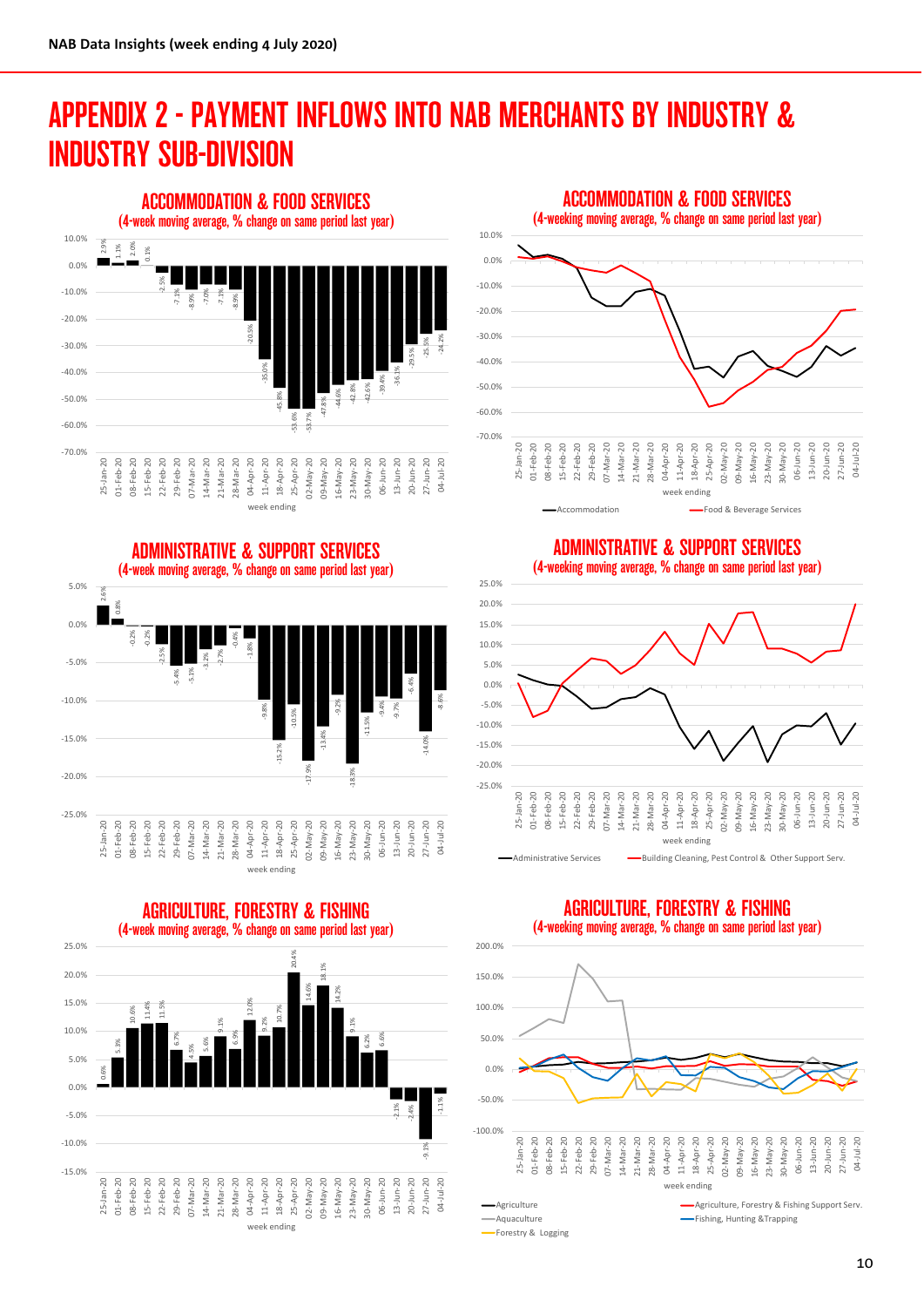## APPENDIX 2 - PAYMENT INFLOWS INTO NAB MERCHANTS BY INDUSTRY & INDUSTRY SUB-DIVISION





ADMINISTRATIVE & SUPPORT SERVICES (4-week moving average, % change on same period last year)





ADMINISTRATIVE & SUPPORT SERVICES





### AGRICULTURE, FORESTRY & FISHING (4-week moving average, % change on same period last year)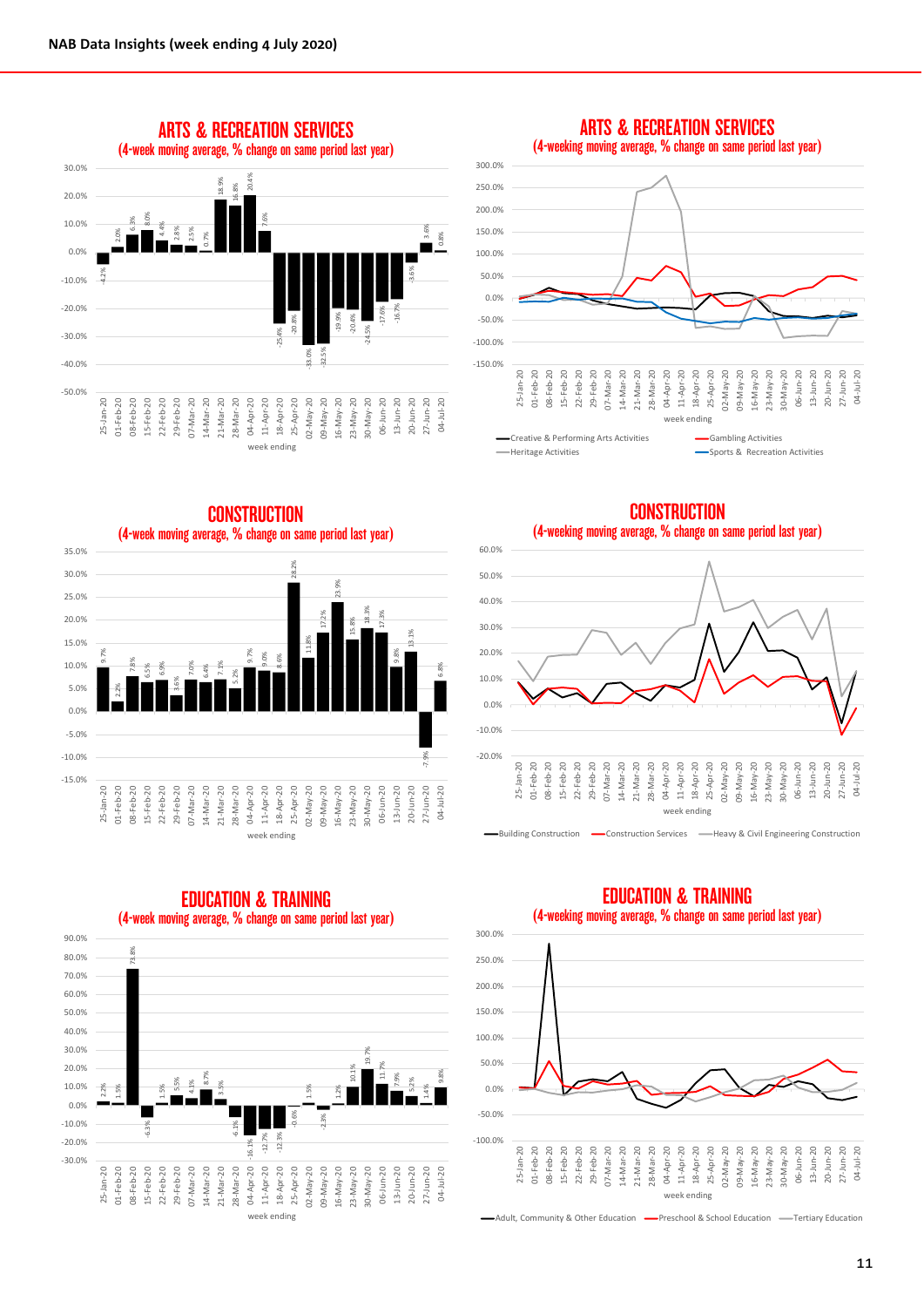

### (4-weeking moving average, % change on same period last year) 300.0% 250.0% 200.0% 150.0% 100.0% 50.0% 0.0% -50.0% -100.0% -150.0% 15-Feb-20 11-Apr-20  $20$ 20 20 20  $20$ 20 20 20 04-Apr-20 29-Feb-20  $D2-MaV-20$ 05-May-20 L6-May-20  $23-May-20$  $80 - May - 20$ 06-Jun-20 20 20 20 04-Jul-20 25-Jan-20 01-Feb-20 08-Feb-20 15-Feb-20 22-Feb-20 29-Feb-20 07-Mar-20 14-Mar-20 21-Mar-20 28-Mar-20 18-Apr-20 25-Apr-20 02-May-20 09-May-20 16-May-20 23-May-20 30-May-20 06-Jun-20 13-Jun-20 20-Jun-20 27-Jun-20 08-Feb-2  $22 - Feb - 2$  $07 - Mar - 2$  $14$ -Mar-2  $13$ -Jun-2  $25 - Jan-2$  $01 - Feb - 2$ 21-Mar-2 28-Mar-2 20-Jun-2  $27$ -Jun-2 week ending Creative & Performing Arts Activities **Gambling Activities**

Heritage Activities **Sports & Recreation Activities** Sports & Recreation Activities

**CONSTRUCTION** (4-weeking moving average, % change on same period last year)





**CONSTRUCTION** (4-week moving average, % change on same period last year)

2.2% 1.5% 73.8% -6.3% 1.5% 5.5% 4.1% 8.7% 3.5% -6.1% -0.6% 1.5% -2.3% 1.2% 10.1% 19.7% 11.7% 7.9% 5.2% 1.4%  $-10.0$ 0.0% 10.0% 20.0% 30.0% 40.0% 50.0% 60.0% 70.0% 80.0% 90.0% EDUCATION & TRAINING (4-week moving average, % change on same period last year)

-16.1% -12.7% -12.3%

07-Mar-20 21-Mar-20 28-Mar-20

week ending

 $D2-May-20$ 05-May-20  $16-May-20$  $23-May-20$  $30-May-20$  $13 - Jun - 20$  $20 - Jun - 20$ 

-30.0% -20.0%

25-Jan-20 01-Feb-20 08-Feb-20 15-Feb-20 22-Feb-20 29-Feb-20 07-Mar-20 14-Mar-20 21-Mar-20 28-Mar-20 04-Apr-20 11-Apr-20 18-Apr-20 25-Apr-20 02-May-20 09-May-20 16-May-20 23-May-20 30-May-20 06-Jun-20 13-Jun-20 20-Jun-20 27-Jun-20 04-Jul-20

 $01 - Feb - 20$ 08-Feb-20 15-Feb-20  $22$ -Feb- $20$ 29-Feb-20 14-Mar-20

 $25 - Jan - 20$ 



9.8%

 $27 - Jun - 20$ 

06-Jun-20

250.0% 300.0%

EDUCATION & TRAINING (4-weeking moving average, % change on same period last year)



## ARTS & RECREATION SERVICES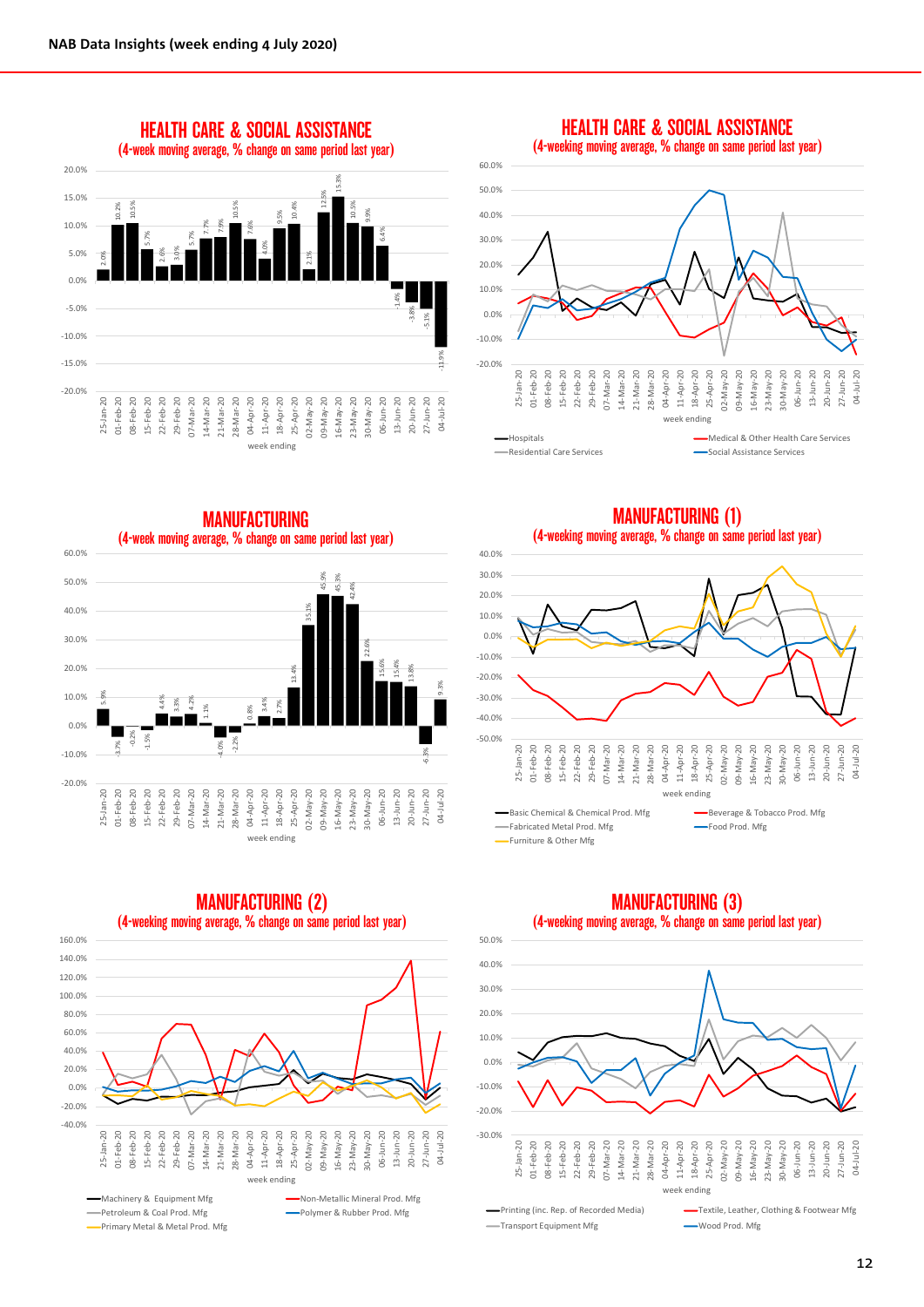

HEALTH CARE & SOCIAL ASSISTANCE (4-weeking moving average, % change on same period last year)



MANUFACTURING (4-week moving average, % change on same period last year) 60.0% 45.9% 50.0% 45.3% 42.4% 40.0% 35.1% 30.0% 22.6% 15.6% 20.0% 15.4% 13.8% 13.4% 9.3% 10.0% 5.9% 4.4% 3.3% 4.2% 3.4% 2.7% 1.1% 0.8% **The Contract State** 0.0% -0.2% -1.5% -2.2% -3.7% -4.0% -10.0% -6.3% -20.0%  $\overline{20}$ 29-Feb-20 20 20 16-May-20<br>23-May-20  $13 - Jun - 20$  $20$ 08-Feb-20  $\overline{20}$ 20  $20$ 20 09-May-20  $30$ -May-20 20 20 20 04-Jul-20 25-Jan-20 01-Feb-20 08-Feb-20 15-Feb-20 22-Feb-20 29-Feb-20 07-Mar-20 14-Mar-20 21-Mar-20 28-Mar-20 04-Apr-20 11-Apr-20 18-Apr-20 25-Apr-20 02-May-20 09-May-20 16-May-20 23-May-20 30-May-20 06-Jun-20 13-Jun-20 20-Jun-20 27-Jun-20  $27 - Jun - 2$  $01 - Feb - 2$  $15 - Feb - 2$  $22$ -Feb- $2$  $07 -$ Mar-2  $14$ -Mar-2 28-Mar-2 06-Jun-2  $20 - Jun - 2$  $25$ -Jan- $21-Mar-2$ 

MANUFACTURING (1) (4-weeking moving average, % change on same period last year) 40.0% 30.0% 20.0% 10.0% 0.0% -10.0% -20.0% -30.0% -40.0% -50.0% 01-Feb-20<br>08-Feb-20<br>15-Feb-20<br>22-Feb-20<br>29-Feb-20<br>07-Mar-20  $Jan-20$ 28-Mar-20 13-Jun-20<br>20-Jun-20  $\overline{0}$  $Jun-20$ L4-Mar-20  $D2 - May - 20$  $D9 - May - 20$  $16 - May-20$  $23 - May-20$  $30 - May - 20$  $27 - Jun - 20$ 04-Jul-20 25-Jan-20 01-Feb-20 08-Feb-20 15-Feb-20 22-Feb-20 29-Feb-20 07-Mar-20 14-Mar-20 21-Mar-20 28-Mar-20 04-Apr-20 11-Apr-20 18-Apr-20 25-Apr-20 02-May-20 09-May-20 16-May-20 23-May-20 30-May-20 06-Jun-20 13-Jun-20 20-Jun-20 27-Jun-20  $21-Mar 25 5 - 3$ week ending Basic Chemical & Chemical Prod. Mfg Beverage & Tobacco Prod. Mfg Fabricated Metal Prod. Mfg Food Prod. Mfg Furniture & Other Mfg



MANUFACTURING (2) (4-weeking moving average, % change on same period last year)

week ending



### MANUFACTURING (3) (4-weeking moving average, % change on same period last year)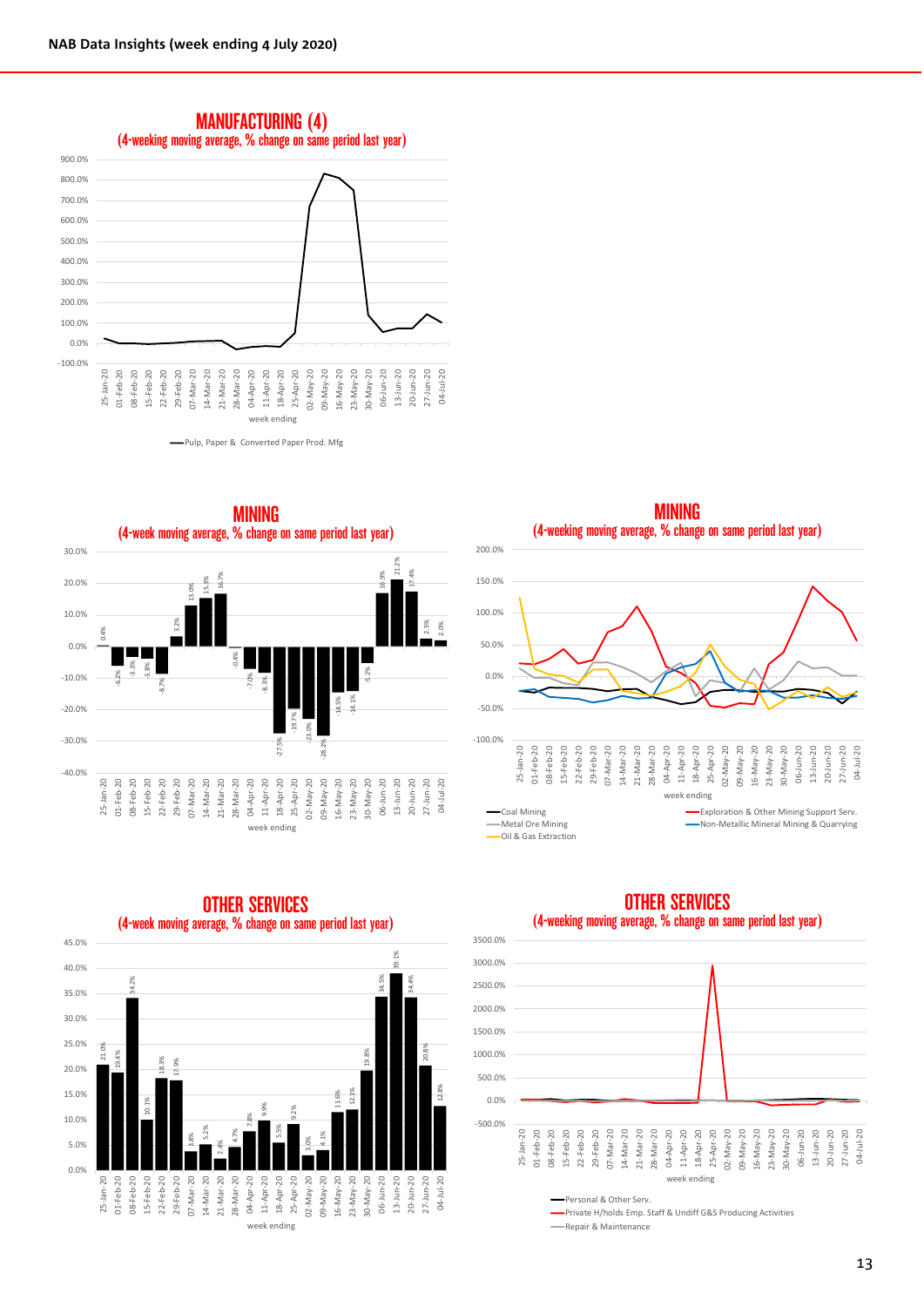







-50.0%



### OTHER SERVICES (4-week moving average, % change on same period last year)

### OTHER SERVICES (4-weeking moving average, % change on same period last year)



Private H/holds Emp. Staff & Undiff G&S Producing Activities **Repair & Maintenance** 

MINING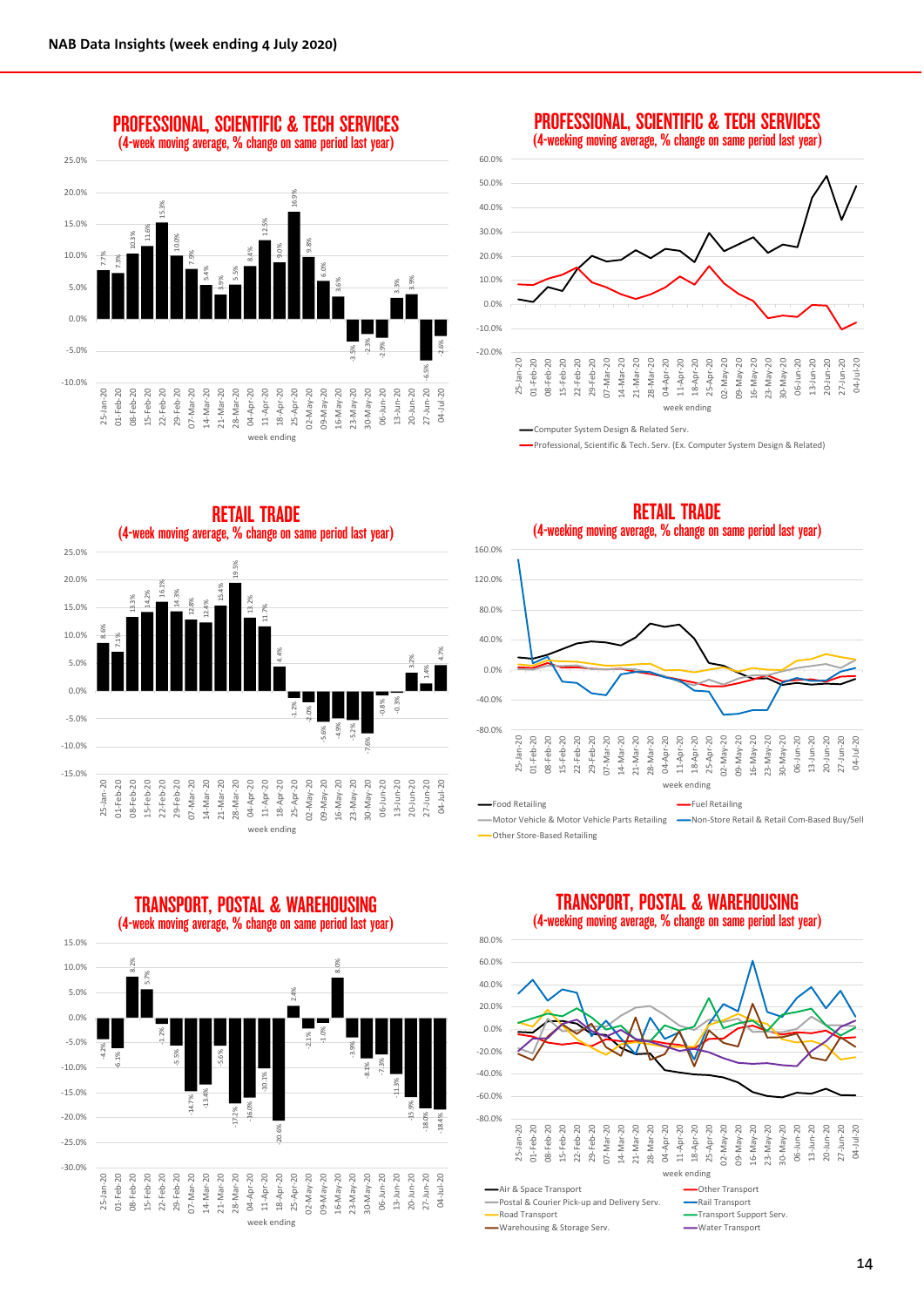8.6% 7.1%

25-Jan-20 01-Feb-20 08-Feb-20

 $01 - Feb-2$ 

 $25 - Jan - 20$ 20

-15.0% -10.0%  $-5.0%$ 0.0% 5.0% 10.0% 15.0% 20.0% 25.0%

13.3%



60.0% 50.0% 40.0% 30.0% 20.0% 10.0% 0.0% -10.0% -20.0% 01-Feb-20 22-Feb-20 29-Feb-20 21-Mar-20 28-Mar-20  $02$ -May-20  $09-May-20$ 04-Jul-20 20  $20$  $25 - Jan - 20$ 15-Feb-20  $07 - \text{Mar} - 20$  $16-May-20$  $23-May-20$  $0$ -May-20 06-Jun-20 13-Jun-20 20-Jun-20  $27 - Jun - 20$ 25-Jan-20 01-Feb-20 08-Feb-20 15-Feb-20 22-Feb-20 29-Feb-20 07-Mar-20 14-Mar-20 21-Mar-20 28-Mar-20 04-Apr-20 11-Apr-20 18-Apr-20 25-Apr-20 02-May-20 09-May-20 16-May-20 23-May-20 30-May-20 06-Jun-20 13-Jun-20 20-Jun-20 27-Jun-20  $14$ -Mar-2 Feb- $08$ week ending

PROFESSIONAL, SCIENTIFIC & TECH SERVICES (4-weeking moving average, % change on same period last year)

Computer System Design & Related Serv.

Professional, Scientific & Tech. Serv. (Ex. Computer System Design & Related)



RETAIL TRADE (4-weeking moving average, % change on same period last year)



week ending

## TRANSPORT, POSTAL & WAREHOUSING



Postal & Courier Pick-up and Delivery Serv.<br>
Road Transport

-Warehousing & Storage Serv. - Water Transport

TRANSPORT, POSTAL & WAREHOUSING

<sup>(4-</sup>week moving average, % change on same period last year) 15.0% 8.2% 8.0% 10.0% 5.7% 5.0% 2.4% 0.0% -1.0% -1.2% -2.1% -5.0% -3.9% -4.2% -5.5% -5.6% -6.1%  $-10.0%$ -7.3% -8.1% -10.1% -11.3% -15.0% -14.7%  $\overline{1}$ -16.0% -15.9% -17.2% -20.0% -18.0% -18.4% -20.6% -25.0% -30.0% 29-Feb-20 07-Mar-20 04-Apr-20 13-Jun-20 20-Jun-20  $25 - Jan - 20$ 20 08-Feb-20  $15 - Feb - 20$  $22-Feb-20$  $20$ 20<br>20  $20$ 20<br>20 20 06-Jun-20 20 04-Jul-20 25-Jan-20 01-Feb-20 08-Feb-20 15-Feb-20 22-Feb-20 29-Feb-20 07-Mar-20 14-Mar-20 21-Mar-20 28-Mar-20 11-Apr-20 18-Apr-20 25-Apr-20 02-May-20 09-May-20 16-May-20 23-May-20 30-May-20 06-Jun-20 13-Jun-20 20-Jun-20 27-Jun-20  $30$ -May-2  $27 - Jun-2$  $01 - Feb-2$  $14$ -Mar-2 21-Mar-2<br>28-Mar-2 09-May-2 16-May-2<br>23-May-2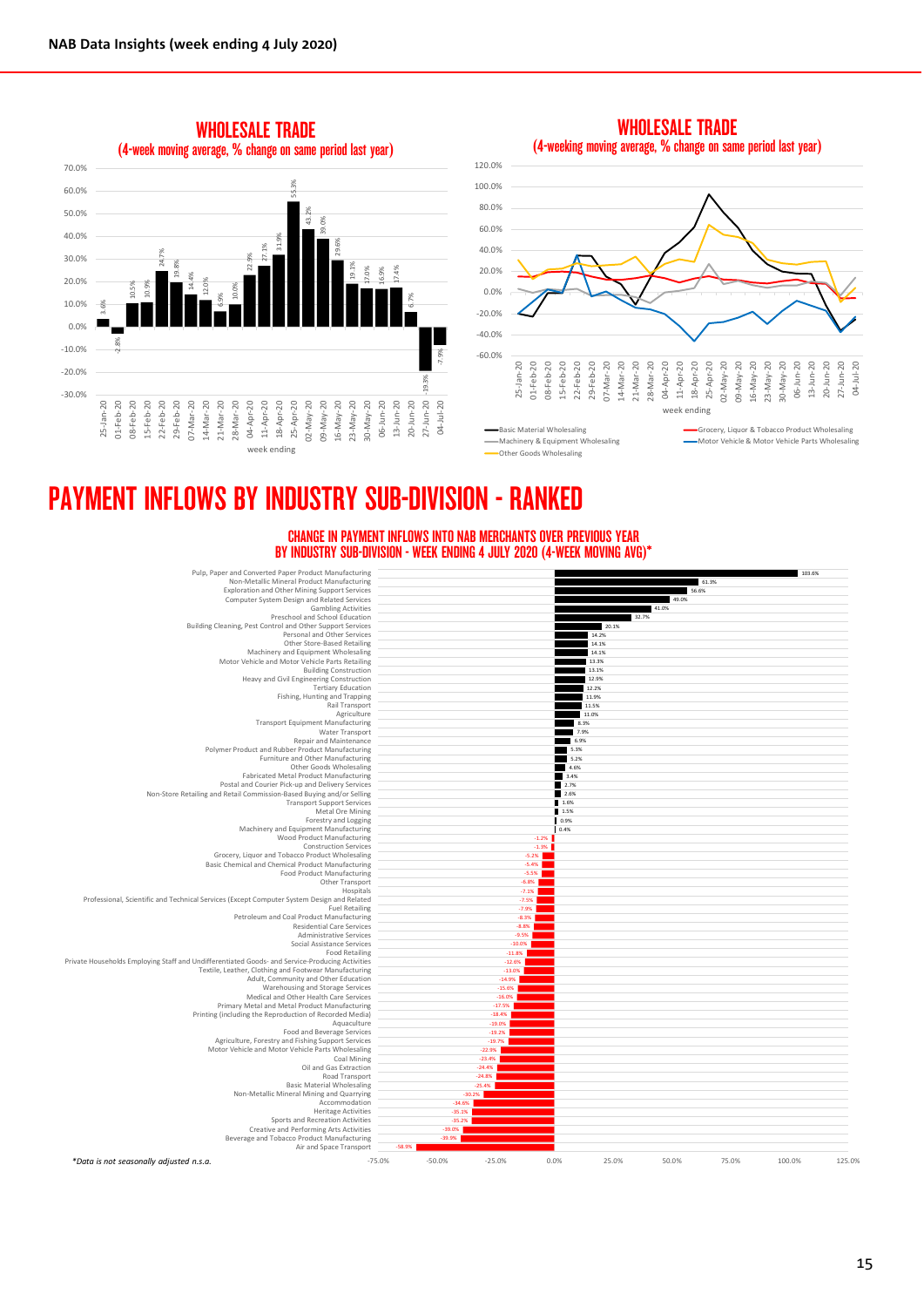

WHOLESALE TRADE



Other Goods Wholesaling

CHANGE IN PAYMENT INFLOWS INTO NAB MERCHANTS OVER PREVIOUS YEAR BY INDUSTRY SUB-DIVISION - WEEK ENDING 4 JULY 2020 (4-WEEK MOVING AVG)\*